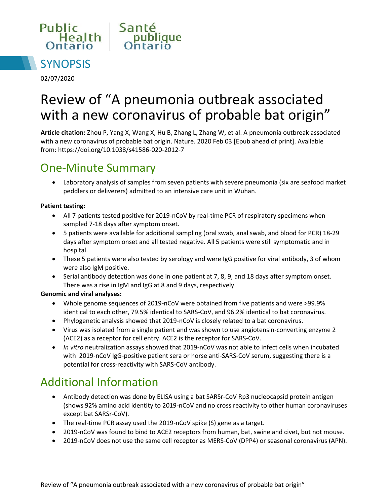



02/07/2020

# Review of "A pneumonia outbreak associated with a new coronavirus of probable bat origin"

**Article citation:** Zhou P, Yang X, Wang X, Hu B, Zhang L, Zhang W, et al. A pneumonia outbreak associated with a new coronavirus of probable bat origin. Nature. 2020 Feb 03 [Epub ahead of print]. Available from: <https://doi.org/10.1038/s41586-020-2012-7>

#### One-Minute Summary

 Laboratory analysis of samples from seven patients with severe pneumonia (six are seafood market peddlers or deliverers) admitted to an intensive care unit in Wuhan.

#### **Patient testing:**

- All 7 patients tested positive for 2019-nCoV by real-time PCR of respiratory specimens when sampled 7-18 days after symptom onset.
- 5 patients were available for additional sampling (oral swab, anal swab, and blood for PCR) 18-29 days after symptom onset and all tested negative. All 5 patients were still symptomatic and in hospital.
- These 5 patients were also tested by serology and were IgG positive for viral antibody, 3 of whom were also IgM positive.
- Serial antibody detection was done in one patient at 7, 8, 9, and 18 days after symptom onset. There was a rise in IgM and IgG at 8 and 9 days, respectively.

#### **Genomic and viral analyses:**

- Whole genome sequences of 2019-nCoV were obtained from five patients and were >99.9% identical to each other, 79.5% identical to SARS-CoV, and 96.2% identical to bat coronavirus.
- Phylogenetic analysis showed that 2019-nCoV is closely related to a bat coronavirus.
- Virus was isolated from a single patient and was shown to use angiotensin-converting enzyme 2 (ACE2) as a receptor for cell entry. ACE2 is the receptor for SARS-CoV.
- *In vitro* neutralization assays showed that 2019-nCoV was not able to infect cells when incubated with 2019-nCoV IgG-positive patient sera or horse anti-SARS-CoV serum, suggesting there is a potential for cross-reactivity with SARS-CoV antibody.

### Additional Information

- Antibody detection was done by ELISA using a bat SARSr-CoV Rp3 nucleocapsid protein antigen (shows 92% amino acid identity to 2019-nCoV and no cross reactivity to other human coronaviruses except bat SARSr-CoV).
- The real-time PCR assay used the 2019-nCoV spike (S) gene as a target.
- 2019-nCoV was found to bind to ACE2 receptors from human, bat, swine and civet, but not mouse.
- 2019-nCoV does not use the same cell receptor as MERS-CoV (DPP4) or seasonal coronavirus (APN).